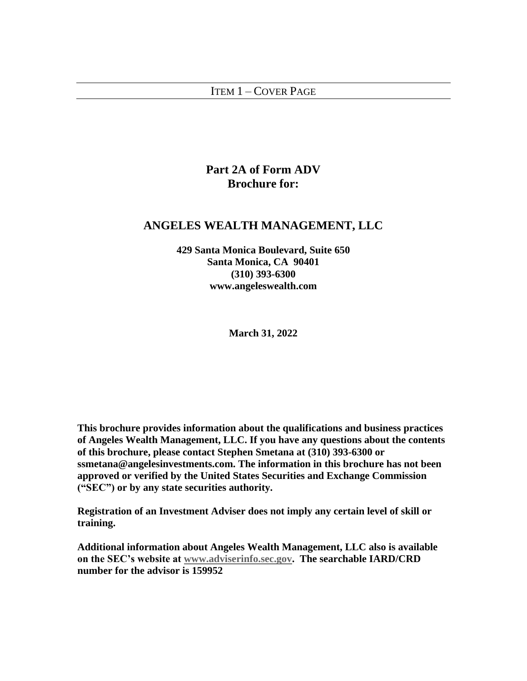## <span id="page-0-0"></span>ITEM 1 – COVER PAGE

# **Part 2A of Form ADV Brochure for:**

## **ANGELES WEALTH MANAGEMENT, LLC**

**429 Santa Monica Boulevard, Suite 650 Santa Monica, CA 90401 (310) 393-6300 www.angeleswealth.com**

**March 31, 2022**

**This brochure provides information about the qualifications and business practices of Angeles Wealth Management, LLC. If you have any questions about the contents of this brochure, please contact Stephen Smetana at (310) 393-6300 or ssmetana@angelesinvestments.com. The information in this brochure has not been approved or verified by the United States Securities and Exchange Commission ("SEC") or by any state securities authority.** 

**Registration of an Investment Adviser does not imply any certain level of skill or training.**

**Additional information about Angeles Wealth Management, LLC also is available on the SEC's website at [www.adviserinfo.sec.gov.](http://www.adviserinfo.sec.gov/) The searchable IARD/CRD number for the advisor is 159952**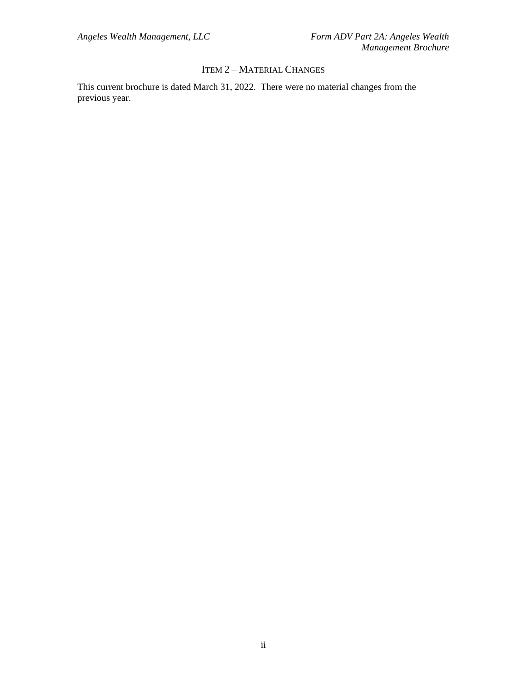ITEM 2 – MATERIAL CHANGES

<span id="page-1-0"></span>This current brochure is dated March 31, 2022. There were no material changes from the previous year.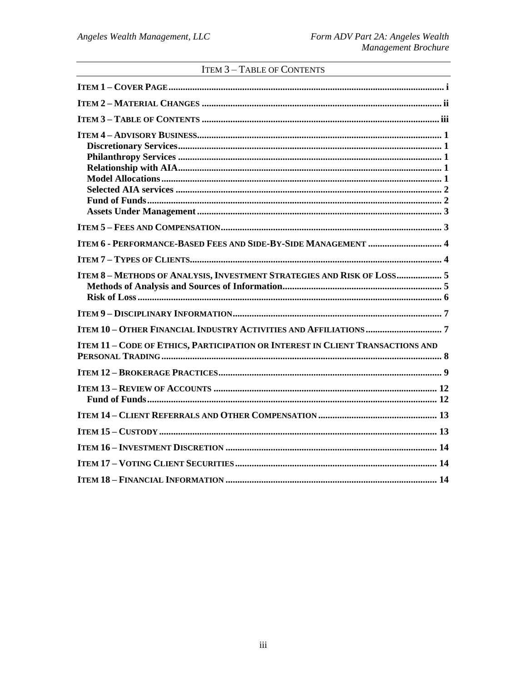|  |  | <b>ITEM 3 - TABLE OF CONTENTS</b> |
|--|--|-----------------------------------|
|--|--|-----------------------------------|

<span id="page-2-0"></span>

| ITEM 8-METHODS OF ANALYSIS, INVESTMENT STRATEGIES AND RISK OF LOSS 5                  |
|---------------------------------------------------------------------------------------|
|                                                                                       |
|                                                                                       |
| <b>ITEM 11 - CODE OF ETHICS, PARTICIPATION OR INTEREST IN CLIENT TRANSACTIONS AND</b> |
|                                                                                       |
|                                                                                       |
|                                                                                       |
|                                                                                       |
|                                                                                       |
|                                                                                       |
|                                                                                       |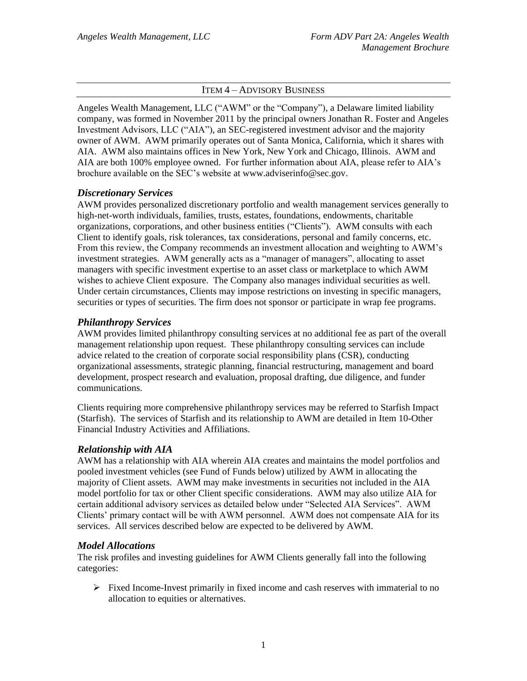### ITEM 4 – ADVISORY BUSINESS

<span id="page-3-0"></span>Angeles Wealth Management, LLC ("AWM" or the "Company"), a Delaware limited liability company, was formed in November 2011 by the principal owners Jonathan R. Foster and Angeles Investment Advisors, LLC ("AIA"), an SEC-registered investment advisor and the majority owner of AWM. AWM primarily operates out of Santa Monica, California, which it shares with AIA. AWM also maintains offices in New York, New York and Chicago, Illinois. AWM and AIA are both 100% employee owned. For further information about AIA, please refer to AIA's brochure available on the SEC's website at www.adviserinfo@sec.gov.

### <span id="page-3-1"></span>*Discretionary Services*

AWM provides personalized discretionary portfolio and wealth management services generally to high-net-worth individuals, families, trusts, estates, foundations, endowments, charitable organizations, corporations, and other business entities ("Clients"). AWM consults with each Client to identify goals, risk tolerances, tax considerations, personal and family concerns, etc. From this review, the Company recommends an investment allocation and weighting to AWM's investment strategies. AWM generally acts as a "manager of managers", allocating to asset managers with specific investment expertise to an asset class or marketplace to which AWM wishes to achieve Client exposure. The Company also manages individual securities as well. Under certain circumstances, Clients may impose restrictions on investing in specific managers, securities or types of securities. The firm does not sponsor or participate in wrap fee programs.

### <span id="page-3-2"></span>*Philanthropy Services*

AWM provides limited philanthropy consulting services at no additional fee as part of the overall management relationship upon request. These philanthropy consulting services can include advice related to the creation of corporate social responsibility plans (CSR), conducting organizational assessments, strategic planning, financial restructuring, management and board development, prospect research and evaluation, proposal drafting, due diligence, and funder communications.

Clients requiring more comprehensive philanthropy services may be referred to Starfish Impact (Starfish). The services of Starfish and its relationship to AWM are detailed in Item 10-Other Financial Industry Activities and Affiliations.

### <span id="page-3-3"></span>*Relationship with AIA*

AWM has a relationship with AIA wherein AIA creates and maintains the model portfolios and pooled investment vehicles (see Fund of Funds below) utilized by AWM in allocating the majority of Client assets. AWM may make investments in securities not included in the AIA model portfolio for tax or other Client specific considerations. AWM may also utilize AIA for certain additional advisory services as detailed below under "Selected AIA Services". AWM Clients' primary contact will be with AWM personnel. AWM does not compensate AIA for its services. All services described below are expected to be delivered by AWM.

#### <span id="page-3-4"></span>*Model Allocations*

The risk profiles and investing guidelines for AWM Clients generally fall into the following categories:

 $\triangleright$  Fixed Income-Invest primarily in fixed income and cash reserves with immaterial to no allocation to equities or alternatives.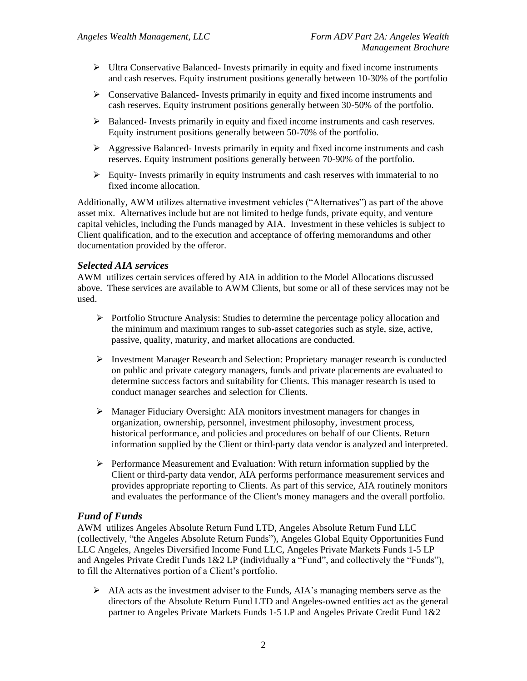- $\triangleright$  Ultra Conservative Balanced- Invests primarily in equity and fixed income instruments and cash reserves. Equity instrument positions generally between 10-30% of the portfolio
- ➢ Conservative Balanced- Invests primarily in equity and fixed income instruments and cash reserves. Equity instrument positions generally between 30-50% of the portfolio.
- $\triangleright$  Balanced- Invests primarily in equity and fixed income instruments and cash reserves. Equity instrument positions generally between 50-70% of the portfolio.
- $\triangleright$  Aggressive Balanced- Invests primarily in equity and fixed income instruments and cash reserves. Equity instrument positions generally between 70-90% of the portfolio.
- $\triangleright$  Equity-Invests primarily in equity instruments and cash reserves with immaterial to no fixed income allocation.

Additionally, AWM utilizes alternative investment vehicles ("Alternatives") as part of the above asset mix. Alternatives include but are not limited to hedge funds, private equity, and venture capital vehicles, including the Funds managed by AIA. Investment in these vehicles is subject to Client qualification, and to the execution and acceptance of offering memorandums and other documentation provided by the offeror.

### <span id="page-4-0"></span>*Selected AIA services*

AWM utilizes certain services offered by AIA in addition to the Model Allocations discussed above. These services are available to AWM Clients, but some or all of these services may not be used.

- ➢ Portfolio Structure Analysis: Studies to determine the percentage policy allocation and the minimum and maximum ranges to sub-asset categories such as style, size, active, passive, quality, maturity, and market allocations are conducted.
- ➢ Investment Manager Research and Selection: Proprietary manager research is conducted on public and private category managers, funds and private placements are evaluated to determine success factors and suitability for Clients. This manager research is used to conduct manager searches and selection for Clients.
- ➢ Manager Fiduciary Oversight: AIA monitors investment managers for changes in organization, ownership, personnel, investment philosophy, investment process, historical performance, and policies and procedures on behalf of our Clients. Return information supplied by the Client or third-party data vendor is analyzed and interpreted.
- ➢ Performance Measurement and Evaluation: With return information supplied by the Client or third-party data vendor, AIA performs performance measurement services and provides appropriate reporting to Clients. As part of this service, AIA routinely monitors and evaluates the performance of the Client's money managers and the overall portfolio.

## <span id="page-4-1"></span>*Fund of Funds*

AWM utilizes Angeles Absolute Return Fund LTD, Angeles Absolute Return Fund LLC (collectively, "the Angeles Absolute Return Funds"), Angeles Global Equity Opportunities Fund LLC Angeles, Angeles Diversified Income Fund LLC, Angeles Private Markets Funds 1-5 LP and Angeles Private Credit Funds 1&2 LP (individually a "Fund", and collectively the "Funds"), to fill the Alternatives portion of a Client's portfolio.

➢ AIA acts as the investment adviser to the Funds, AIA's managing members serve as the directors of the Absolute Return Fund LTD and Angeles-owned entities act as the general partner to Angeles Private Markets Funds 1-5 LP and Angeles Private Credit Fund 1&2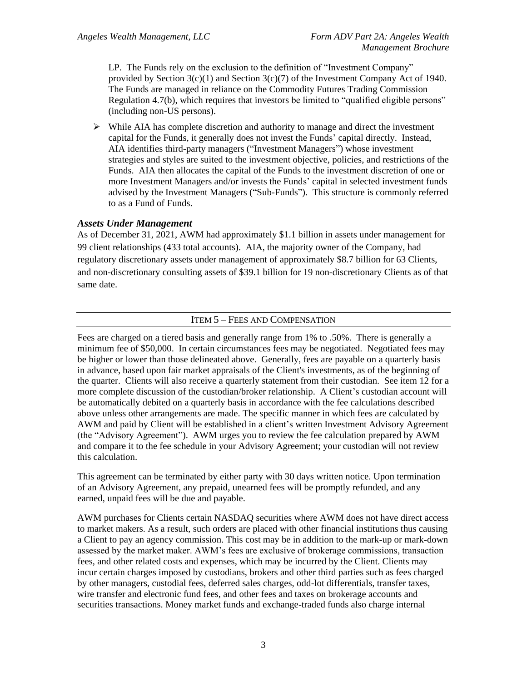LP. The Funds rely on the exclusion to the definition of "Investment Company" provided by Section  $3(c)(1)$  and Section  $3(c)(7)$  of the Investment Company Act of 1940. The Funds are managed in reliance on the Commodity Futures Trading Commission Regulation 4.7(b), which requires that investors be limited to "qualified eligible persons" (including non-US persons).

 $\triangleright$  While AIA has complete discretion and authority to manage and direct the investment capital for the Funds, it generally does not invest the Funds' capital directly. Instead, AIA identifies third-party managers ("Investment Managers") whose investment strategies and styles are suited to the investment objective, policies, and restrictions of the Funds. AIA then allocates the capital of the Funds to the investment discretion of one or more Investment Managers and/or invests the Funds' capital in selected investment funds advised by the Investment Managers ("Sub-Funds"). This structure is commonly referred to as a Fund of Funds.

## <span id="page-5-0"></span>*Assets Under Management*

As of December 31, 2021, AWM had approximately \$1.1 billion in assets under management for 99 client relationships (433 total accounts). AIA, the majority owner of the Company, had regulatory discretionary assets under management of approximately \$8.7 billion for 63 Clients, and non-discretionary consulting assets of \$39.1 billion for 19 non-discretionary Clients as of that same date.

### ITEM 5 – FEES AND COMPENSATION

<span id="page-5-1"></span>Fees are charged on a tiered basis and generally range from 1% to .50%. There is generally a minimum fee of \$50,000. In certain circumstances fees may be negotiated. Negotiated fees may be higher or lower than those delineated above. Generally, fees are payable on a quarterly basis in advance, based upon fair market appraisals of the Client's investments, as of the beginning of the quarter. Clients will also receive a quarterly statement from their custodian. See item 12 for a more complete discussion of the custodian/broker relationship. A Client's custodian account will be automatically debited on a quarterly basis in accordance with the fee calculations described above unless other arrangements are made. The specific manner in which fees are calculated by AWM and paid by Client will be established in a client's written Investment Advisory Agreement (the "Advisory Agreement"). AWM urges you to review the fee calculation prepared by AWM and compare it to the fee schedule in your Advisory Agreement; your custodian will not review this calculation.

This agreement can be terminated by either party with 30 days written notice. Upon termination of an Advisory Agreement, any prepaid, unearned fees will be promptly refunded, and any earned, unpaid fees will be due and payable.

AWM purchases for Clients certain NASDAQ securities where AWM does not have direct access to market makers. As a result, such orders are placed with other financial institutions thus causing a Client to pay an agency commission. This cost may be in addition to the mark-up or mark-down assessed by the market maker. AWM's fees are exclusive of brokerage commissions, transaction fees, and other related costs and expenses, which may be incurred by the Client. Clients may incur certain charges imposed by custodians, brokers and other third parties such as fees charged by other managers, custodial fees, deferred sales charges, odd-lot differentials, transfer taxes, wire transfer and electronic fund fees, and other fees and taxes on brokerage accounts and securities transactions. Money market funds and exchange-traded funds also charge internal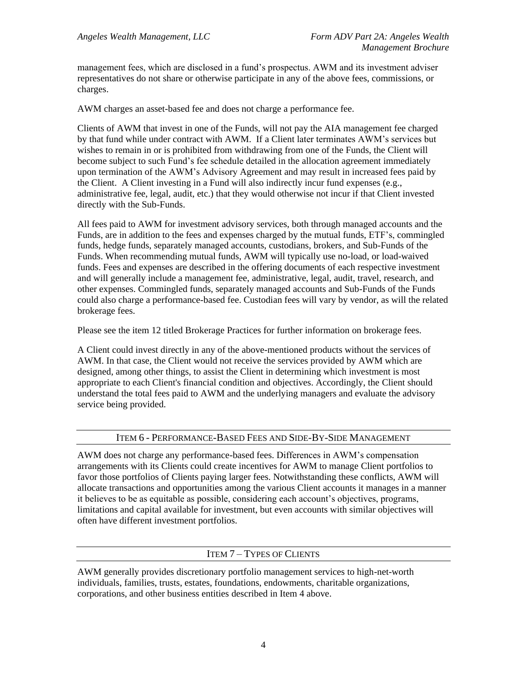management fees, which are disclosed in a fund's prospectus. AWM and its investment adviser representatives do not share or otherwise participate in any of the above fees, commissions, or charges.

AWM charges an asset-based fee and does not charge a performance fee.

Clients of AWM that invest in one of the Funds, will not pay the AIA management fee charged by that fund while under contract with AWM. If a Client later terminates AWM's services but wishes to remain in or is prohibited from withdrawing from one of the Funds, the Client will become subject to such Fund's fee schedule detailed in the allocation agreement immediately upon termination of the AWM's Advisory Agreement and may result in increased fees paid by the Client. A Client investing in a Fund will also indirectly incur fund expenses  $(e.g.,)$ administrative fee, legal, audit, etc.) that they would otherwise not incur if that Client invested directly with the Sub-Funds.

All fees paid to AWM for investment advisory services, both through managed accounts and the Funds, are in addition to the fees and expenses charged by the mutual funds, ETF's, commingled funds, hedge funds, separately managed accounts, custodians, brokers, and Sub-Funds of the Funds. When recommending mutual funds, AWM will typically use no-load, or load-waived funds. Fees and expenses are described in the offering documents of each respective investment and will generally include a management fee, administrative, legal, audit, travel, research, and other expenses. Commingled funds, separately managed accounts and Sub-Funds of the Funds could also charge a performance-based fee. Custodian fees will vary by vendor, as will the related brokerage fees.

Please see the item 12 titled Brokerage Practices for further information on brokerage fees.

A Client could invest directly in any of the above-mentioned products without the services of AWM. In that case, the Client would not receive the services provided by AWM which are designed, among other things, to assist the Client in determining which investment is most appropriate to each Client's financial condition and objectives. Accordingly, the Client should understand the total fees paid to AWM and the underlying managers and evaluate the advisory service being provided.

### ITEM 6 - PERFORMANCE-BASED FEES AND SIDE-BY-SIDE MANAGEMENT

<span id="page-6-0"></span>AWM does not charge any performance-based fees. Differences in AWM's compensation arrangements with its Clients could create incentives for AWM to manage Client portfolios to favor those portfolios of Clients paying larger fees. Notwithstanding these conflicts, AWM will allocate transactions and opportunities among the various Client accounts it manages in a manner it believes to be as equitable as possible, considering each account's objectives, programs, limitations and capital available for investment, but even accounts with similar objectives will often have different investment portfolios.

### ITEM 7 – TYPES OF CLIENTS

<span id="page-6-1"></span>AWM generally provides discretionary portfolio management services to high-net-worth individuals, families, trusts, estates, foundations, endowments, charitable organizations, corporations, and other business entities described in Item 4 above.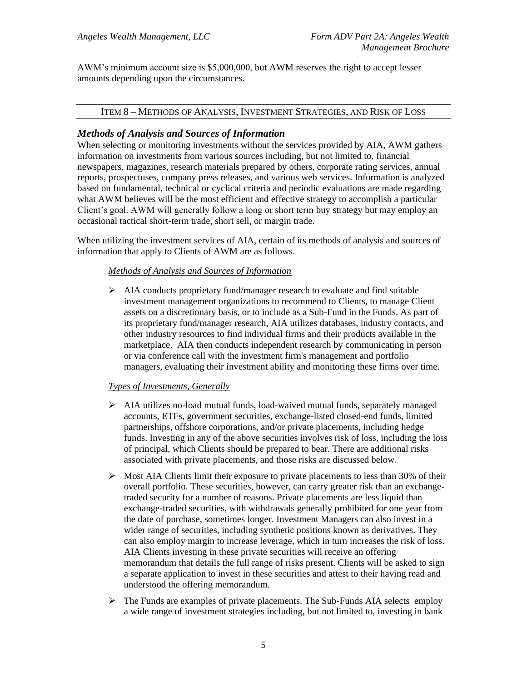AWM's minimum account size is \$5,000,000, but AWM reserves the right to accept lesser amounts depending upon the circumstances.

#### <span id="page-7-0"></span>ITEM 8 – METHODS OF ANALYSIS, INVESTMENT STRATEGIES, AND RISK OF LOSS

### <span id="page-7-1"></span>*Methods of Analysis and Sources of Information*

When selecting or monitoring investments without the services provided by AIA, AWM gathers information on investments from various sources including, but not limited to, financial newspapers, magazines, research materials prepared by others, corporate rating services, annual reports, prospectuses, company press releases, and various web services. Information is analyzed based on fundamental, technical or cyclical criteria and periodic evaluations are made regarding what AWM believes will be the most efficient and effective strategy to accomplish a particular Client's goal. AWM will generally follow a long or short term buy strategy but may employ an occasional tactical short-term trade, short sell, or margin trade.

When utilizing the investment services of AIA, certain of its methods of analysis and sources of information that apply to Clients of AWM are as follows.

### *Methods of Analysis and Sources of Information*

 $\triangleright$  AIA conducts proprietary fund/manager research to evaluate and find suitable investment management organizations to recommend to Clients, to manage Client assets on a discretionary basis, or to include as a Sub-Fund in the Funds. As part of its proprietary fund/manager research, AIA utilizes databases, industry contacts, and other industry resources to find individual firms and their products available in the marketplace. AIA then conducts independent research by communicating in person or via conference call with the investment firm's management and portfolio managers, evaluating their investment ability and monitoring these firms over time.

### *Types of Investments, Generally*

- ➢ AIA utilizes no-load mutual funds, load-waived mutual funds, separately managed accounts, ETFs, government securities, exchange-listed closed-end funds, limited partnerships, offshore corporations, and/or private placements, including hedge funds. Investing in any of the above securities involves risk of loss, including the loss of principal, which Clients should be prepared to bear. There are additional risks associated with private placements, and those risks are discussed below.
- $\triangleright$  Most AIA Clients limit their exposure to private placements to less than 30% of their overall portfolio. These securities, however, can carry greater risk than an exchangetraded security for a number of reasons. Private placements are less liquid than exchange-traded securities, with withdrawals generally prohibited for one year from the date of purchase, sometimes longer. Investment Managers can also invest in a wider range of securities, including synthetic positions known as derivatives. They can also employ margin to increase leverage, which in turn increases the risk of loss. AIA Clients investing in these private securities will receive an offering memorandum that details the full range of risks present. Clients will be asked to sign a separate application to invest in these securities and attest to their having read and understood the offering memorandum.
- ➢ The Funds are examples of private placements. The Sub-Funds AIA selects employ a wide range of investment strategies including, but not limited to, investing in bank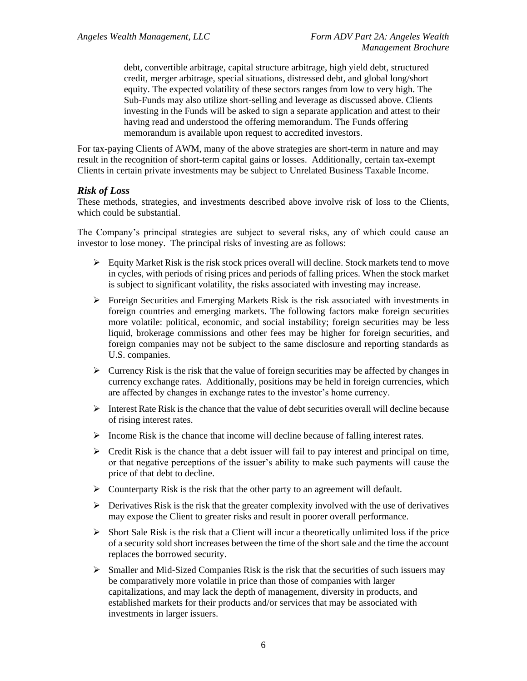debt, convertible arbitrage, capital structure arbitrage, high yield debt, structured credit, merger arbitrage, special situations, distressed debt, and global long/short equity. The expected volatility of these sectors ranges from low to very high. The Sub-Funds may also utilize short-selling and leverage as discussed above. Clients investing in the Funds will be asked to sign a separate application and attest to their having read and understood the offering memorandum. The Funds offering memorandum is available upon request to accredited investors.

For tax-paying Clients of AWM, many of the above strategies are short-term in nature and may result in the recognition of short-term capital gains or losses. Additionally, certain tax-exempt Clients in certain private investments may be subject to Unrelated Business Taxable Income.

### <span id="page-8-0"></span>*Risk of Loss*

These methods, strategies, and investments described above involve risk of loss to the Clients, which could be substantial.

The Company's principal strategies are subject to several risks, any of which could cause an investor to lose money. The principal risks of investing are as follows:

- $\triangleright$  Equity Market Risk is the risk stock prices overall will decline. Stock markets tend to move in cycles, with periods of rising prices and periods of falling prices. When the stock market is subject to significant volatility, the risks associated with investing may increase.
- ➢ Foreign Securities and Emerging Markets Risk is the risk associated with investments in foreign countries and emerging markets. The following factors make foreign securities more volatile: political, economic, and social instability; foreign securities may be less liquid, brokerage commissions and other fees may be higher for foreign securities, and foreign companies may not be subject to the same disclosure and reporting standards as U.S. companies.
- $\triangleright$  Currency Risk is the risk that the value of foreign securities may be affected by changes in currency exchange rates. Additionally, positions may be held in foreign currencies, which are affected by changes in exchange rates to the investor's home currency.
- ➢ Interest Rate Risk is the chance that the value of debt securities overall will decline because of rising interest rates.
- $\triangleright$  Income Risk is the chance that income will decline because of falling interest rates.
- $\triangleright$  Credit Risk is the chance that a debt issuer will fail to pay interest and principal on time, or that negative perceptions of the issuer's ability to make such payments will cause the price of that debt to decline.
- $\triangleright$  Counterparty Risk is the risk that the other party to an agreement will default.
- $\triangleright$  Derivatives Risk is the risk that the greater complexity involved with the use of derivatives may expose the Client to greater risks and result in poorer overall performance.
- $\triangleright$  Short Sale Risk is the risk that a Client will incur a theoretically unlimited loss if the price of a security sold short increases between the time of the short sale and the time the account replaces the borrowed security.
- ➢ Smaller and Mid-Sized Companies Risk is the risk that the securities of such issuers may be comparatively more volatile in price than those of companies with larger capitalizations, and may lack the depth of management, diversity in products, and established markets for their products and/or services that may be associated with investments in larger issuers.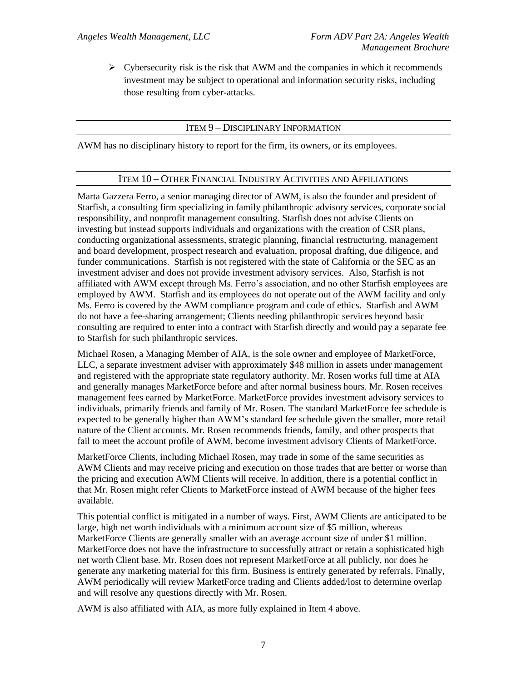$\triangleright$  Cybersecurity risk is the risk that AWM and the companies in which it recommends investment may be subject to operational and information security risks, including those resulting from cyber-attacks.

### ITEM 9 – DISCIPLINARY INFORMATION

<span id="page-9-1"></span><span id="page-9-0"></span>AWM has no disciplinary history to report for the firm, its owners, or its employees.

#### ITEM 10 – OTHER FINANCIAL INDUSTRY ACTIVITIES AND AFFILIATIONS

Marta Gazzera Ferro, a senior managing director of AWM, is also the founder and president of Starfish, a consulting firm specializing in family philanthropic advisory services, corporate social responsibility, and nonprofit management consulting. Starfish does not advise Clients on investing but instead supports individuals and organizations with the creation of CSR plans, conducting organizational assessments, strategic planning, financial restructuring, management and board development, prospect research and evaluation, proposal drafting, due diligence, and funder communications. Starfish is not registered with the state of California or the SEC as an investment adviser and does not provide investment advisory services. Also, Starfish is not affiliated with AWM except through Ms. Ferro's association, and no other Starfish employees are employed by AWM. Starfish and its employees do not operate out of the AWM facility and only Ms. Ferro is covered by the AWM compliance program and code of ethics. Starfish and AWM do not have a fee-sharing arrangement; Clients needing philanthropic services beyond basic consulting are required to enter into a contract with Starfish directly and would pay a separate fee to Starfish for such philanthropic services.

Michael Rosen, a Managing Member of AIA, is the sole owner and employee of MarketForce, LLC, a separate investment adviser with approximately \$48 million in assets under management and registered with the appropriate state regulatory authority. Mr. Rosen works full time at AIA and generally manages MarketForce before and after normal business hours. Mr. Rosen receives management fees earned by MarketForce. MarketForce provides investment advisory services to individuals, primarily friends and family of Mr. Rosen. The standard MarketForce fee schedule is expected to be generally higher than AWM's standard fee schedule given the smaller, more retail nature of the Client accounts. Mr. Rosen recommends friends, family, and other prospects that fail to meet the account profile of AWM, become investment advisory Clients of MarketForce.

MarketForce Clients, including Michael Rosen, may trade in some of the same securities as AWM Clients and may receive pricing and execution on those trades that are better or worse than the pricing and execution AWM Clients will receive. In addition, there is a potential conflict in that Mr. Rosen might refer Clients to MarketForce instead of AWM because of the higher fees available.

This potential conflict is mitigated in a number of ways. First, AWM Clients are anticipated to be large, high net worth individuals with a minimum account size of \$5 million, whereas MarketForce Clients are generally smaller with an average account size of under \$1 million. MarketForce does not have the infrastructure to successfully attract or retain a sophisticated high net worth Client base. Mr. Rosen does not represent MarketForce at all publicly, nor does he generate any marketing material for this firm. Business is entirely generated by referrals. Finally, AWM periodically will review MarketForce trading and Clients added/lost to determine overlap and will resolve any questions directly with Mr. Rosen.

AWM is also affiliated with AIA, as more fully explained in Item 4 above.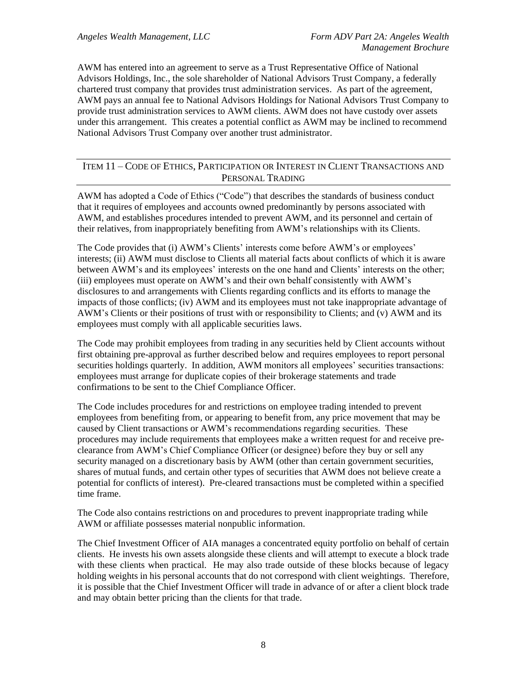AWM has entered into an agreement to serve as a Trust Representative Office of National Advisors Holdings, Inc., the sole shareholder of National Advisors Trust Company, a federally chartered trust company that provides trust administration services. As part of the agreement, AWM pays an annual fee to National Advisors Holdings for National Advisors Trust Company to provide trust administration services to AWM clients. AWM does not have custody over assets under this arrangement. This creates a potential conflict as AWM may be inclined to recommend National Advisors Trust Company over another trust administrator.

### <span id="page-10-0"></span>ITEM 11 – CODE OF ETHICS, PARTICIPATION OR INTEREST IN CLIENT TRANSACTIONS AND PERSONAL TRADING

AWM has adopted a Code of Ethics ("Code") that describes the standards of business conduct that it requires of employees and accounts owned predominantly by persons associated with AWM, and establishes procedures intended to prevent AWM, and its personnel and certain of their relatives, from inappropriately benefiting from AWM's relationships with its Clients.

The Code provides that (i) AWM's Clients' interests come before AWM's or employees' interests; (ii) AWM must disclose to Clients all material facts about conflicts of which it is aware between AWM's and its employees' interests on the one hand and Clients' interests on the other; (iii) employees must operate on AWM's and their own behalf consistently with AWM's disclosures to and arrangements with Clients regarding conflicts and its efforts to manage the impacts of those conflicts; (iv) AWM and its employees must not take inappropriate advantage of AWM's Clients or their positions of trust with or responsibility to Clients; and (v) AWM and its employees must comply with all applicable securities laws.

The Code may prohibit employees from trading in any securities held by Client accounts without first obtaining pre-approval as further described below and requires employees to report personal securities holdings quarterly. In addition, AWM monitors all employees' securities transactions: employees must arrange for duplicate copies of their brokerage statements and trade confirmations to be sent to the Chief Compliance Officer.

The Code includes procedures for and restrictions on employee trading intended to prevent employees from benefiting from, or appearing to benefit from, any price movement that may be caused by Client transactions or AWM's recommendations regarding securities. These procedures may include requirements that employees make a written request for and receive preclearance from AWM's Chief Compliance Officer (or designee) before they buy or sell any security managed on a discretionary basis by AWM (other than certain government securities, shares of mutual funds, and certain other types of securities that AWM does not believe create a potential for conflicts of interest). Pre-cleared transactions must be completed within a specified time frame.

The Code also contains restrictions on and procedures to prevent inappropriate trading while AWM or affiliate possesses material nonpublic information.

The Chief Investment Officer of AIA manages a concentrated equity portfolio on behalf of certain clients. He invests his own assets alongside these clients and will attempt to execute a block trade with these clients when practical. He may also trade outside of these blocks because of legacy holding weights in his personal accounts that do not correspond with client weightings. Therefore, it is possible that the Chief Investment Officer will trade in advance of or after a client block trade and may obtain better pricing than the clients for that trade.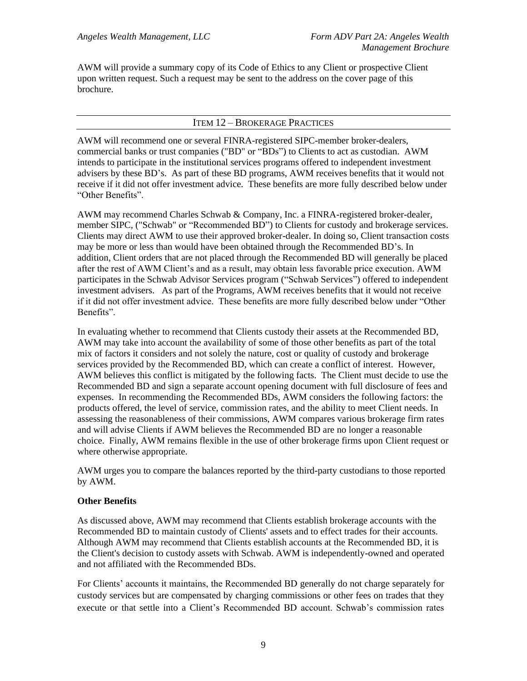AWM will provide a summary copy of its Code of Ethics to any Client or prospective Client upon written request. Such a request may be sent to the address on the cover page of this brochure.

### ITEM 12 – BROKERAGE PRACTICES

<span id="page-11-0"></span>AWM will recommend one or several FINRA-registered SIPC-member broker-dealers, commercial banks or trust companies ("BD" or "BDs") to Clients to act as custodian. AWM intends to participate in the institutional services programs offered to independent investment advisers by these BD's. As part of these BD programs, AWM receives benefits that it would not receive if it did not offer investment advice. These benefits are more fully described below under "Other Benefits".

AWM may recommend Charles Schwab & Company, Inc. a FINRA-registered broker-dealer, member SIPC, ("Schwab" or "Recommended BD") to Clients for custody and brokerage services. Clients may direct AWM to use their approved broker-dealer. In doing so, Client transaction costs may be more or less than would have been obtained through the Recommended BD's. In addition, Client orders that are not placed through the Recommended BD will generally be placed after the rest of AWM Client's and as a result, may obtain less favorable price execution. AWM participates in the Schwab Advisor Services program ("Schwab Services") offered to independent investment advisers. As part of the Programs, AWM receives benefits that it would not receive if it did not offer investment advice. These benefits are more fully described below under "Other Benefits".

In evaluating whether to recommend that Clients custody their assets at the Recommended BD, AWM may take into account the availability of some of those other benefits as part of the total mix of factors it considers and not solely the nature, cost or quality of custody and brokerage services provided by the Recommended BD, which can create a conflict of interest. However, AWM believes this conflict is mitigated by the following facts. The Client must decide to use the Recommended BD and sign a separate account opening document with full disclosure of fees and expenses. In recommending the Recommended BDs, AWM considers the following factors: the products offered, the level of service, commission rates, and the ability to meet Client needs. In assessing the reasonableness of their commissions, AWM compares various brokerage firm rates and will advise Clients if AWM believes the Recommended BD are no longer a reasonable choice. Finally, AWM remains flexible in the use of other brokerage firms upon Client request or where otherwise appropriate.

AWM urges you to compare the balances reported by the third-party custodians to those reported by AWM.

#### **Other Benefits**

As discussed above, AWM may recommend that Clients establish brokerage accounts with the Recommended BD to maintain custody of Clients' assets and to effect trades for their accounts. Although AWM may recommend that Clients establish accounts at the Recommended BD, it is the Client's decision to custody assets with Schwab. AWM is independently-owned and operated and not affiliated with the Recommended BDs.

For Clients' accounts it maintains, the Recommended BD generally do not charge separately for custody services but are compensated by charging commissions or other fees on trades that they execute or that settle into a Client's Recommended BD account. Schwab's commission rates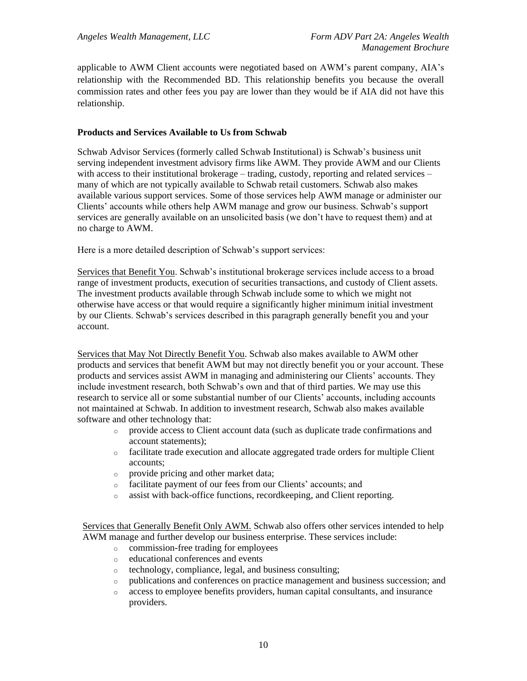applicable to AWM Client accounts were negotiated based on AWM's parent company, AIA's relationship with the Recommended BD. This relationship benefits you because the overall commission rates and other fees you pay are lower than they would be if AIA did not have this relationship.

### **Products and Services Available to Us from Schwab**

Schwab Advisor Services (formerly called Schwab Institutional) is Schwab's business unit serving independent investment advisory firms like AWM. They provide AWM and our Clients with access to their institutional brokerage – trading, custody, reporting and related services – many of which are not typically available to Schwab retail customers. Schwab also makes available various support services. Some of those services help AWM manage or administer our Clients' accounts while others help AWM manage and grow our business. Schwab's support services are generally available on an unsolicited basis (we don't have to request them) and at no charge to AWM.

Here is a more detailed description of Schwab's support services:

Services that Benefit You. Schwab's institutional brokerage services include access to a broad range of investment products, execution of securities transactions, and custody of Client assets. The investment products available through Schwab include some to which we might not otherwise have access or that would require a significantly higher minimum initial investment by our Clients. Schwab's services described in this paragraph generally benefit you and your account.

Services that May Not Directly Benefit You. Schwab also makes available to AWM other products and services that benefit AWM but may not directly benefit you or your account. These products and services assist AWM in managing and administering our Clients' accounts. They include investment research, both Schwab's own and that of third parties. We may use this research to service all or some substantial number of our Clients' accounts, including accounts not maintained at Schwab. In addition to investment research, Schwab also makes available software and other technology that:

- o provide access to Client account data (such as duplicate trade confirmations and account statements);
- $\circ$  facilitate trade execution and allocate aggregated trade orders for multiple Client accounts;
- o provide pricing and other market data;
- o facilitate payment of our fees from our Clients' accounts; and
- o assist with back-office functions, recordkeeping, and Client reporting.

Services that Generally Benefit Only AWM. Schwab also offers other services intended to help AWM manage and further develop our business enterprise. These services include:

- o commission-free trading for employees
- o educational conferences and events
- o technology, compliance, legal, and business consulting;
- publications and conferences on practice management and business succession; and
- o access to employee benefits providers, human capital consultants, and insurance providers.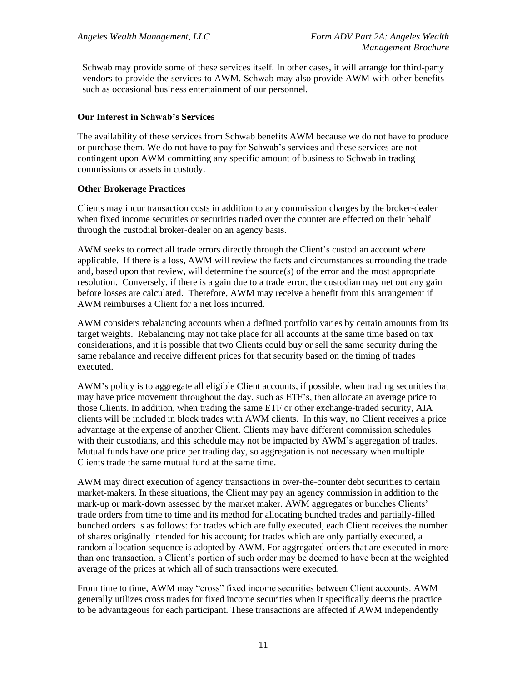Schwab may provide some of these services itself. In other cases, it will arrange for third-party vendors to provide the services to AWM. Schwab may also provide AWM with other benefits such as occasional business entertainment of our personnel.

### **Our Interest in Schwab's Services**

The availability of these services from Schwab benefits AWM because we do not have to produce or purchase them. We do not have to pay for Schwab's services and these services are not contingent upon AWM committing any specific amount of business to Schwab in trading commissions or assets in custody.

#### **Other Brokerage Practices**

Clients may incur transaction costs in addition to any commission charges by the broker-dealer when fixed income securities or securities traded over the counter are effected on their behalf through the custodial broker-dealer on an agency basis.

AWM seeks to correct all trade errors directly through the Client's custodian account where applicable. If there is a loss, AWM will review the facts and circumstances surrounding the trade and, based upon that review, will determine the source(s) of the error and the most appropriate resolution. Conversely, if there is a gain due to a trade error, the custodian may net out any gain before losses are calculated. Therefore, AWM may receive a benefit from this arrangement if AWM reimburses a Client for a net loss incurred.

AWM considers rebalancing accounts when a defined portfolio varies by certain amounts from its target weights. Rebalancing may not take place for all accounts at the same time based on tax considerations, and it is possible that two Clients could buy or sell the same security during the same rebalance and receive different prices for that security based on the timing of trades executed.

AWM's policy is to aggregate all eligible Client accounts, if possible, when trading securities that may have price movement throughout the day, such as ETF's, then allocate an average price to those Clients. In addition, when trading the same ETF or other exchange-traded security, AIA clients will be included in block trades with AWM clients. In this way, no Client receives a price advantage at the expense of another Client. Clients may have different commission schedules with their custodians, and this schedule may not be impacted by AWM's aggregation of trades. Mutual funds have one price per trading day, so aggregation is not necessary when multiple Clients trade the same mutual fund at the same time.

AWM may direct execution of agency transactions in over-the-counter debt securities to certain market-makers. In these situations, the Client may pay an agency commission in addition to the mark-up or mark-down assessed by the market maker. AWM aggregates or bunches Clients' trade orders from time to time and its method for allocating bunched trades and partially-filled bunched orders is as follows: for trades which are fully executed, each Client receives the number of shares originally intended for his account; for trades which are only partially executed, a random allocation sequence is adopted by AWM. For aggregated orders that are executed in more than one transaction, a Client's portion of such order may be deemed to have been at the weighted average of the prices at which all of such transactions were executed.

From time to time, AWM may "cross" fixed income securities between Client accounts. AWM generally utilizes cross trades for fixed income securities when it specifically deems the practice to be advantageous for each participant. These transactions are affected if AWM independently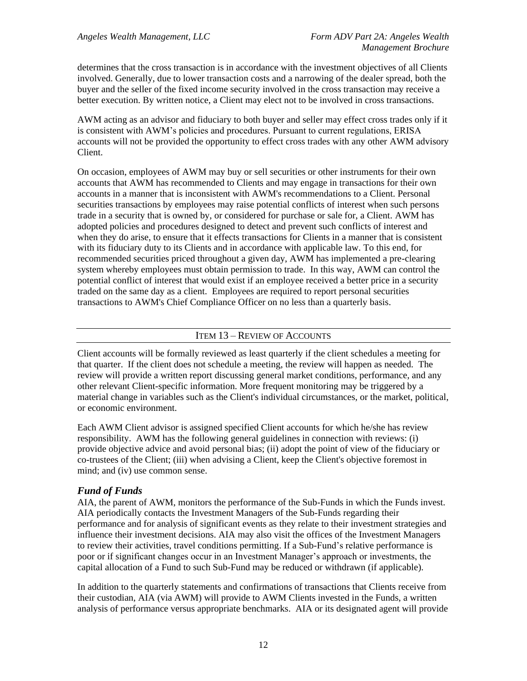determines that the cross transaction is in accordance with the investment objectives of all Clients involved. Generally, due to lower transaction costs and a narrowing of the dealer spread, both the buyer and the seller of the fixed income security involved in the cross transaction may receive a better execution. By written notice, a Client may elect not to be involved in cross transactions.

AWM acting as an advisor and fiduciary to both buyer and seller may effect cross trades only if it is consistent with AWM's policies and procedures. Pursuant to current regulations, ERISA accounts will not be provided the opportunity to effect cross trades with any other AWM advisory Client.

On occasion, employees of AWM may buy or sell securities or other instruments for their own accounts that AWM has recommended to Clients and may engage in transactions for their own accounts in a manner that is inconsistent with AWM's recommendations to a Client. Personal securities transactions by employees may raise potential conflicts of interest when such persons trade in a security that is owned by, or considered for purchase or sale for, a Client. AWM has adopted policies and procedures designed to detect and prevent such conflicts of interest and when they do arise, to ensure that it effects transactions for Clients in a manner that is consistent with its fiduciary duty to its Clients and in accordance with applicable law. To this end, for recommended securities priced throughout a given day, AWM has implemented a pre-clearing system whereby employees must obtain permission to trade. In this way, AWM can control the potential conflict of interest that would exist if an employee received a better price in a security traded on the same day as a client. Employees are required to report personal securities transactions to AWM's Chief Compliance Officer on no less than a quarterly basis.

### ITEM 13 – REVIEW OF ACCOUNTS

<span id="page-14-0"></span>Client accounts will be formally reviewed as least quarterly if the client schedules a meeting for that quarter. If the client does not schedule a meeting, the review will happen as needed. The review will provide a written report discussing general market conditions, performance, and any other relevant Client-specific information. More frequent monitoring may be triggered by a material change in variables such as the Client's individual circumstances, or the market, political, or economic environment.

Each AWM Client advisor is assigned specified Client accounts for which he/she has review responsibility.AWM has the following general guidelines in connection with reviews: (i) provide objective advice and avoid personal bias; (ii) adopt the point of view of the fiduciary or co-trustees of the Client; (iii) when advising a Client, keep the Client's objective foremost in mind; and (iv) use common sense.

### <span id="page-14-1"></span>*Fund of Funds*

AIA, the parent of AWM, monitors the performance of the Sub-Funds in which the Funds invest. AIA periodically contacts the Investment Managers of the Sub-Funds regarding their performance and for analysis of significant events as they relate to their investment strategies and influence their investment decisions. AIA may also visit the offices of the Investment Managers to review their activities, travel conditions permitting. If a Sub-Fund's relative performance is poor or if significant changes occur in an Investment Manager's approach or investments, the capital allocation of a Fund to such Sub-Fund may be reduced or withdrawn (if applicable).

In addition to the quarterly statements and confirmations of transactions that Clients receive from their custodian, AIA (via AWM) will provide to AWM Clients invested in the Funds, a written analysis of performance versus appropriate benchmarks. AIA or its designated agent will provide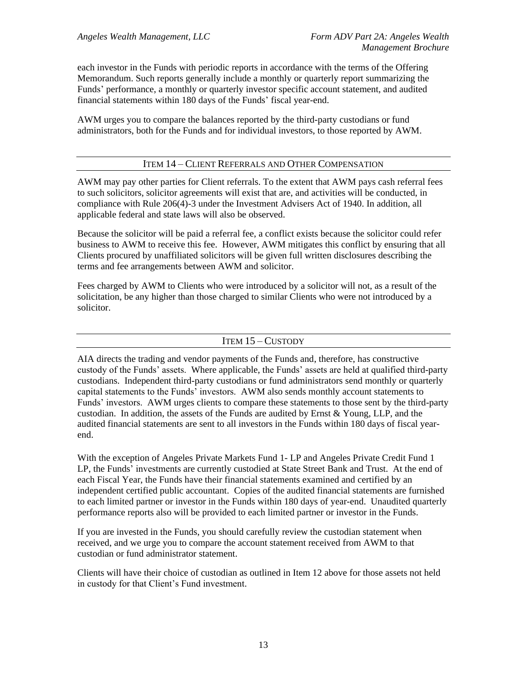each investor in the Funds with periodic reports in accordance with the terms of the Offering Memorandum. Such reports generally include a monthly or quarterly report summarizing the Funds' performance, a monthly or quarterly investor specific account statement, and audited financial statements within 180 days of the Funds' fiscal year-end.

<span id="page-15-0"></span>AWM urges you to compare the balances reported by the third-party custodians or fund administrators, both for the Funds and for individual investors, to those reported by AWM.

### ITEM 14 – CLIENT REFERRALS AND OTHER COMPENSATION

AWM may pay other parties for Client referrals. To the extent that AWM pays cash referral fees to such solicitors, solicitor agreements will exist that are, and activities will be conducted, in compliance with Rule 206(4)-3 under the Investment Advisers Act of 1940. In addition, all applicable federal and state laws will also be observed.

Because the solicitor will be paid a referral fee, a conflict exists because the solicitor could refer business to AWM to receive this fee. However, AWM mitigates this conflict by ensuring that all Clients procured by unaffiliated solicitors will be given full written disclosures describing the terms and fee arrangements between AWM and solicitor.

Fees charged by AWM to Clients who were introduced by a solicitor will not, as a result of the solicitation, be any higher than those charged to similar Clients who were not introduced by a solicitor.

### ITEM 15 – CUSTODY

<span id="page-15-1"></span>AIA directs the trading and vendor payments of the Funds and, therefore, has constructive custody of the Funds' assets. Where applicable, the Funds' assets are held at qualified third-party custodians. Independent third-party custodians or fund administrators send monthly or quarterly capital statements to the Funds' investors. AWM also sends monthly account statements to Funds' investors. AWM urges clients to compare these statements to those sent by the third-party custodian. In addition, the assets of the Funds are audited by Ernst & Young, LLP, and the audited financial statements are sent to all investors in the Funds within 180 days of fiscal yearend.

With the exception of Angeles Private Markets Fund 1- LP and Angeles Private Credit Fund 1 LP, the Funds' investments are currently custodied at State Street Bank and Trust. At the end of each Fiscal Year, the Funds have their financial statements examined and certified by an independent certified public accountant. Copies of the audited financial statements are furnished to each limited partner or investor in the Funds within 180 days of year-end. Unaudited quarterly performance reports also will be provided to each limited partner or investor in the Funds.

If you are invested in the Funds, you should carefully review the custodian statement when received, and we urge you to compare the account statement received from AWM to that custodian or fund administrator statement.

Clients will have their choice of custodian as outlined in Item 12 above for those assets not held in custody for that Client's Fund investment.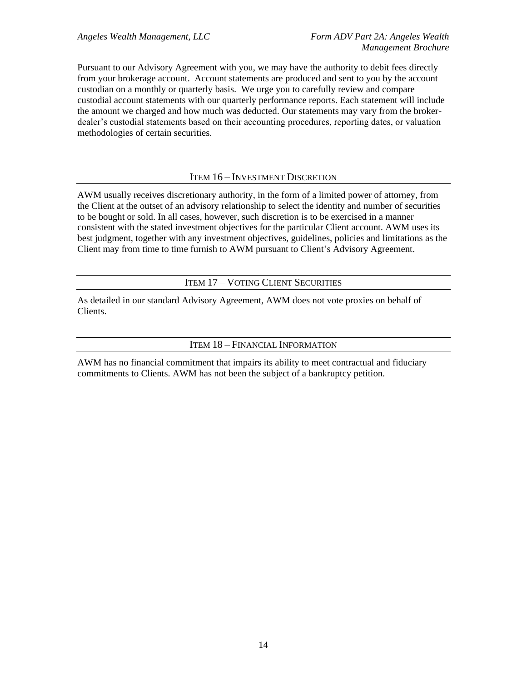Pursuant to our Advisory Agreement with you, we may have the authority to debit fees directly from your brokerage account. Account statements are produced and sent to you by the account custodian on a monthly or quarterly basis. We urge you to carefully review and compare custodial account statements with our quarterly performance reports. Each statement will include the amount we charged and how much was deducted. Our statements may vary from the brokerdealer's custodial statements based on their accounting procedures, reporting dates, or valuation methodologies of certain securities.

#### ITEM 16 – INVESTMENT DISCRETION

<span id="page-16-0"></span>AWM usually receives discretionary authority, in the form of a limited power of attorney, from the Client at the outset of an advisory relationship to select the identity and number of securities to be bought or sold. In all cases, however, such discretion is to be exercised in a manner consistent with the stated investment objectives for the particular Client account. AWM uses its best judgment, together with any investment objectives, guidelines, policies and limitations as the Client may from time to time furnish to AWM pursuant to Client's Advisory Agreement.

ITEM 17 – VOTING CLIENT SECURITIES

<span id="page-16-2"></span><span id="page-16-1"></span>As detailed in our standard Advisory Agreement, AWM does not vote proxies on behalf of Clients.

#### ITEM 18 – FINANCIAL INFORMATION

AWM has no financial commitment that impairs its ability to meet contractual and fiduciary commitments to Clients. AWM has not been the subject of a bankruptcy petition.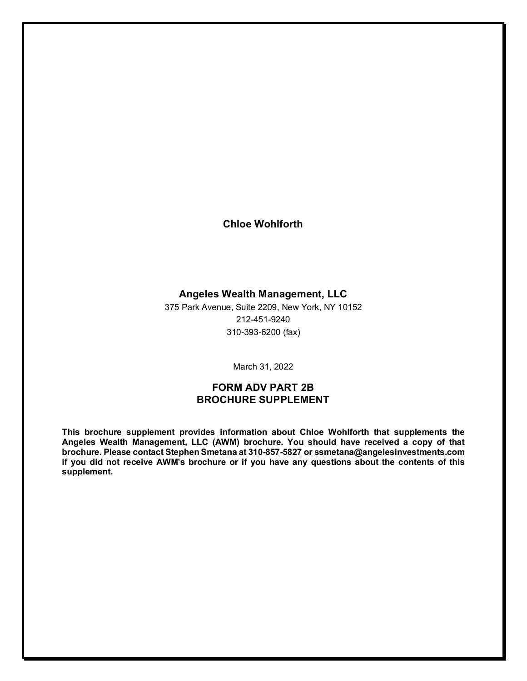## **Chloe Wohlforth**

## **Angeles Wealth Management, LLC**

375 Park Avenue, Suite 2209, New York, NY 10152 212-451-9240 310-393-6200 (fax)

March 31, 2022

## **FORM ADV PART 2B BROCHURE SUPPLEMENT**

**This brochure supplement provides information about Chloe Wohlforth that supplements the Angeles Wealth Management, LLC (AWM) brochure. You should have received a copy of that brochure. Please contact Stephen Smetana at 310-857-5827 or ssmetana@angelesinvestments.com if you did not receive AWM's brochure or if you have any questions about the contents of this supplement.**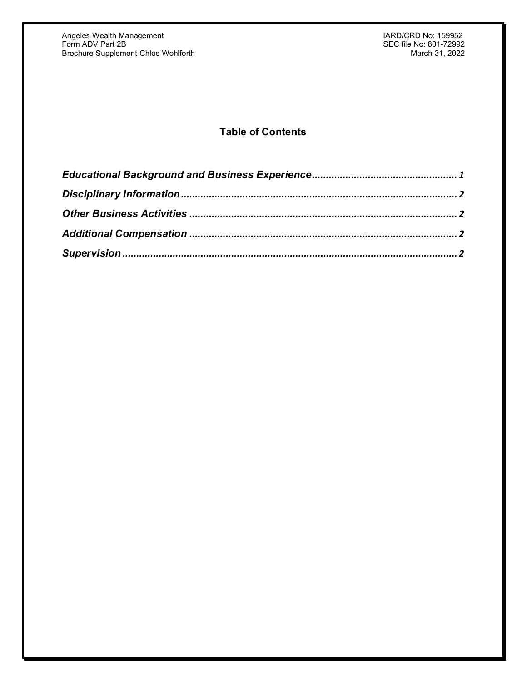# **Table of Contents**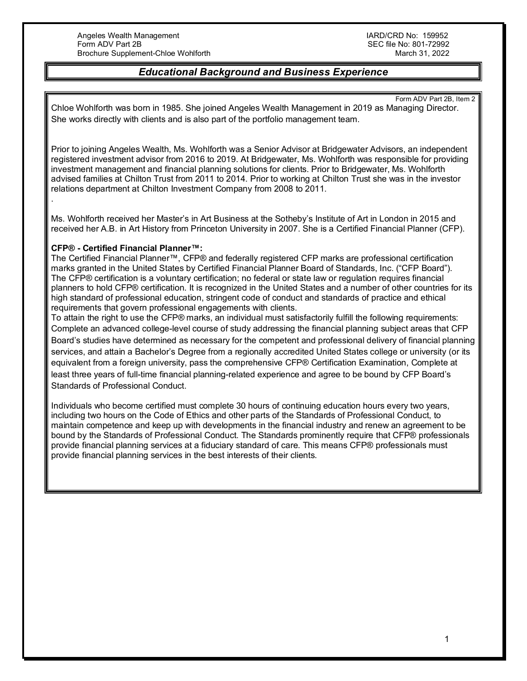### *Educational Background and Business Experience*

<span id="page-19-0"></span>Form ADV Part 2B, Item 2 Chloe Wohlforth was born in 1985. She joined Angeles Wealth Management in 2019 as Managing Director. She works directly with clients and is also part of the portfolio management team.

Prior to joining Angeles Wealth, Ms. Wohlforth was a Senior Advisor at Bridgewater Advisors, an independent registered investment advisor from 2016 to 2019. At Bridgewater, Ms. Wohlforth was responsible for providing investment management and financial planning solutions for clients. Prior to Bridgewater, Ms. Wohlforth advised families at Chilton Trust from 2011 to 2014. Prior to working at Chilton Trust she was in the investor relations department at Chilton Investment Company from 2008 to 2011.

Ms. Wohlforth received her Master's in Art Business at the Sotheby's Institute of Art in London in 2015 and received her A.B. in Art History from Princeton University in 2007. She is a Certified Financial Planner (CFP).

#### **CFP® - Certified Financial Planner™:**

.

The Certified Financial Planner™, CFP® and federally registered CFP marks are professional certification marks granted in the United States by Certified Financial Planner Board of Standards, Inc. ("CFP Board"). The CFP® certification is a voluntary certification; no federal or state law or regulation requires financial planners to hold CFP® certification. It is recognized in the United States and a number of other countries for its high standard of professional education, stringent code of conduct and standards of practice and ethical requirements that govern professional engagements with clients.

To attain the right to use the CFP® marks, an individual must satisfactorily fulfill the following requirements: Complete an advanced college-level course of study addressing the financial planning subject areas that CFP Board's studies have determined as necessary for the competent and professional delivery of financial planning services, and attain a Bachelor's Degree from a regionally accredited United States college or university (or its equivalent from a foreign university, pass the comprehensive CFP® Certification Examination, Complete at least three years of full-time financial planning-related experience and agree to be bound by CFP Board's Standards of Professional Conduct.

Individuals who become certified must complete 30 hours of continuing education hours every two years, including two hours on the Code of Ethics and other parts of the Standards of Professional Conduct, to maintain competence and keep up with developments in the financial industry and renew an agreement to be bound by the Standards of Professional Conduct. The Standards prominently require that CFP® professionals provide financial planning services at a fiduciary standard of care. This means CFP® professionals must provide financial planning services in the best interests of their clients.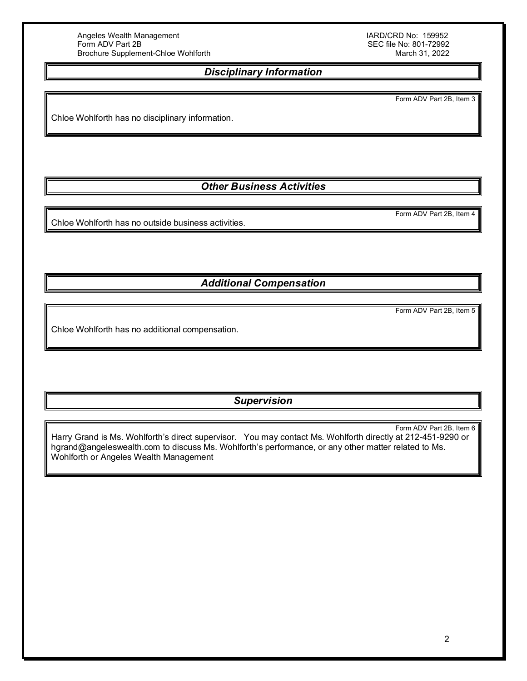SEC file No: 801-72992<br>March 31, 2022

# *Disciplinary Information*

Form ADV Part 2B, Item 3

<span id="page-20-0"></span>Chloe Wohlforth has no disciplinary information.

*Other Business Activities*

<span id="page-20-1"></span>Chloe Wohlforth has no outside business activities.

*Additional Compensation*

Form ADV Part 2B, Item 5

<span id="page-20-2"></span>Chloe Wohlforth has no additional compensation.

## *Supervision*

<span id="page-20-3"></span>Form ADV Part 2B, Item 6 Harry Grand is Ms. Wohlforth's direct supervisor. You may contact Ms. Wohlforth directly at 212-451-9290 or [hgrand@angeleswealth.com](mailto:hgrand@angeleswealth.com) to discuss Ms. Wohlforth's performance, or any other matter related to Ms. Wohlforth or Angeles Wealth Management

Form ADV Part 2B, Item 4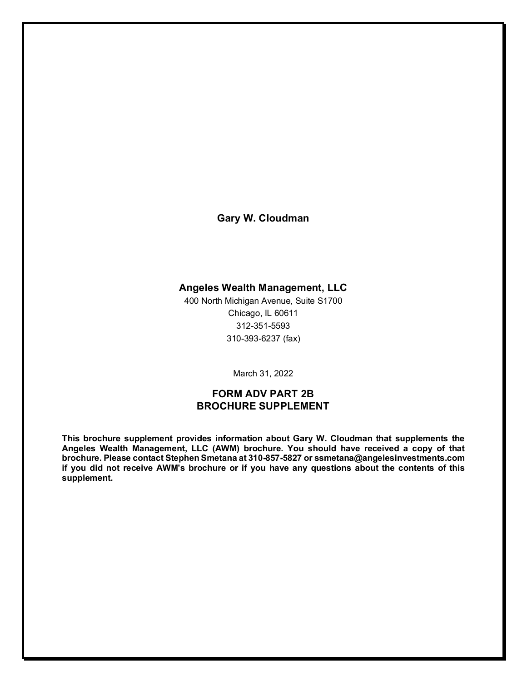**Gary W. Cloudman**

# **Angeles Wealth Management, LLC**

400 North Michigan Avenue, Suite S1700 Chicago, IL 60611 312-351-5593 310-393-6237 (fax)

March 31, 2022

## **FORM ADV PART 2B BROCHURE SUPPLEMENT**

**This brochure supplement provides information about Gary W. Cloudman that supplements the Angeles Wealth Management, LLC (AWM) brochure. You should have received a copy of that brochure. Please contact Stephen Smetana at 310-857-5827 or ssmetana@angelesinvestments.com if you did not receive AWM's brochure or if you have any questions about the contents of this supplement.**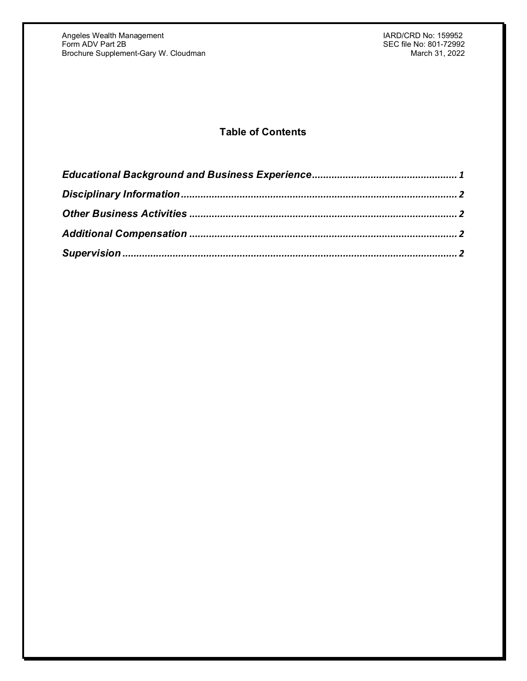# **Table of Contents**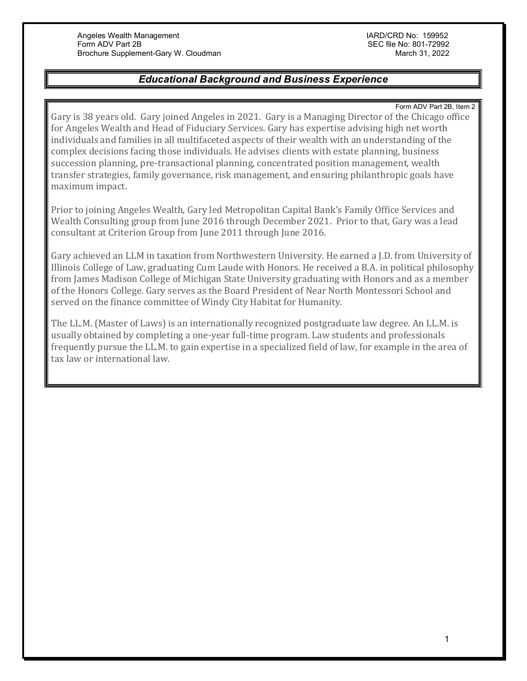## *Educational Background and Business Experience*

Form ADV Part 2B, Item 2

<span id="page-23-0"></span>Gary is 38 years old. Gary joined Angeles in 2021. Gary is a Managing Director of the Chicago office for Angeles Wealth and Head of Fiduciary Services. Gary has expertise advising high net worth individuals and families in all multifaceted aspects of their wealth with an understanding of the complex decisions facing those individuals. He advises clients with estate planning, business succession planning, pre-transactional planning, concentrated position management, wealth transfer strategies, family governance, risk management, and ensuring philanthropic goals have maximum impact.

Prior to joining Angeles Wealth, Gary led Metropolitan Capital Bank's Family Office Services and Wealth Consulting group from June 2016 through December 2021. Prior to that, Gary was a lead consultant at Criterion Group from June 2011 through June 2016.

Gary achieved an LLM in taxation from Northwestern University. He earned a J.D. from University of Illinois College of Law, graduating Cum Laude with Honors. He received a B.A. in political philosophy from James Madison College of Michigan State University graduating with Honors and as a member of the Honors College. Gary serves as the Board President of Near North Montessori School and served on the finance committee of Windy City Habitat for Humanity.

The LL.M. (Master of Laws) is an internationally recognized postgraduate law degree. An LL.M. is usually obtained by completing a one-year full-time program. Law students and professionals frequently pursue the LL.M. to gain expertise in a specialized field of law, for example in the area of tax law or international law.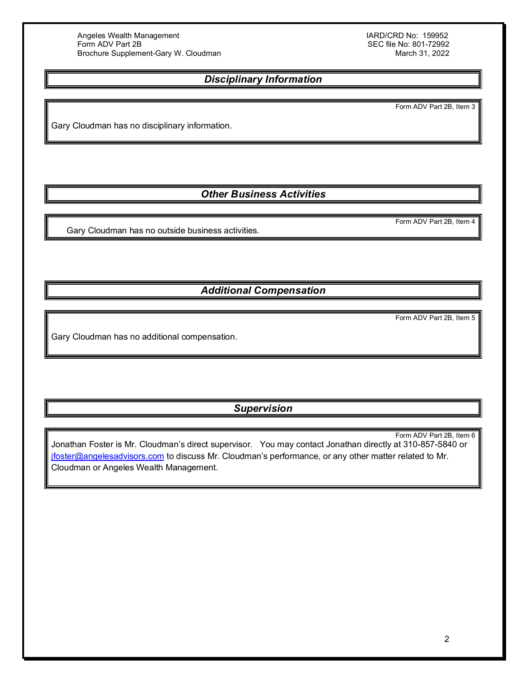SEC file No: 801-72992<br>March 31, 2022

## *Disciplinary Information*

Form ADV Part 2B, Item 3

<span id="page-24-0"></span>Gary Cloudman has no disciplinary information.

*Other Business Activities*

<span id="page-24-1"></span>Gary Cloudman has no outside business activities.

*Additional Compensation*

Form ADV Part 2B, Item 5

Form ADV Part 2B, Item 4

<span id="page-24-2"></span>Gary Cloudman has no additional compensation.

## *Supervision*

<span id="page-24-3"></span>Form ADV Part 2B, Item 6 Jonathan Foster is Mr. Cloudman's direct supervisor. You may contact Jonathan directly at 310-857-5840 or [jfoster@angelesadvisors.com](mailto:jfoster@angelesadvisors.com) to discuss Mr. Cloudman's performance, or any other matter related to Mr. Cloudman or Angeles Wealth Management.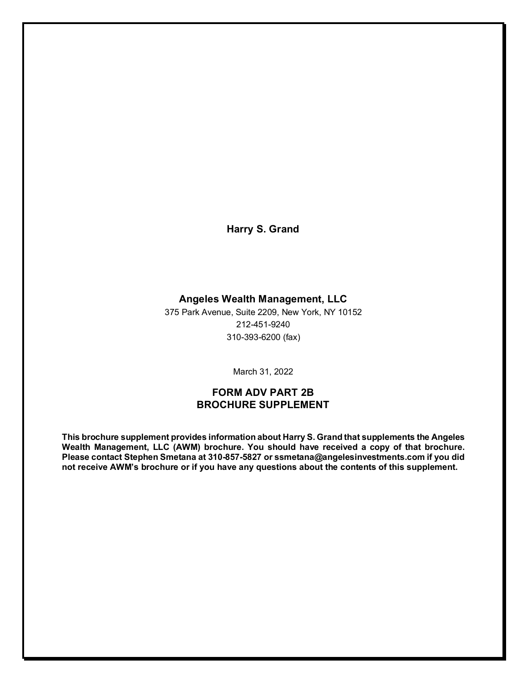**Harry S. Grand**

### **Angeles Wealth Management, LLC**

375 Park Avenue, Suite 2209, New York, NY 10152 212-451-9240 310-393-6200 (fax)

March 31, 2022

## **FORM ADV PART 2B BROCHURE SUPPLEMENT**

**This brochure supplement provides information about Harry S. Grand that supplements the Angeles Wealth Management, LLC (AWM) brochure. You should have received a copy of that brochure. Please contact Stephen Smetana at 310-857-5827 or ssmetana@angelesinvestments.com if you did not receive AWM's brochure or if you have any questions about the contents of this supplement.**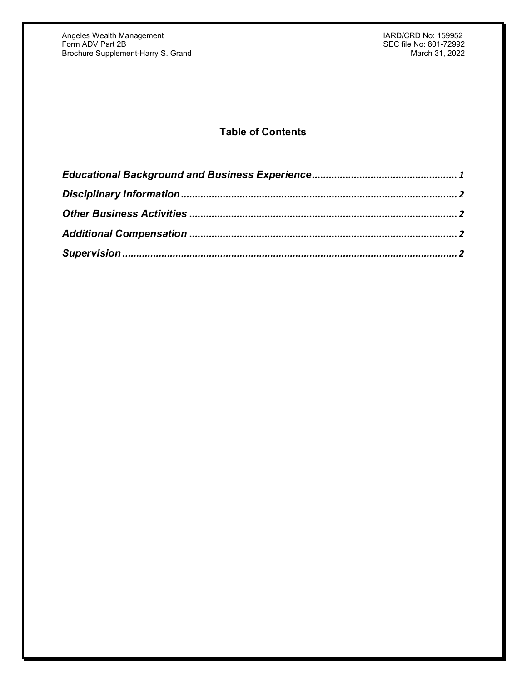Angeles Wealth Management IARD/CRD No: 159952 Form ADV Part 2B SEC file No: 801-72992 Brochure Supplement-Harry S. Grand March 31, 2022 - March 31, 2022

# **Table of Contents**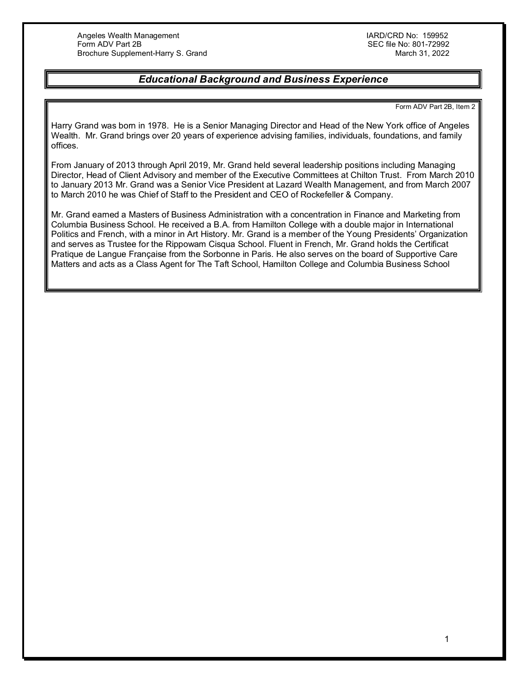## *Educational Background and Business Experience*

Form ADV Part 2B, Item 2

<span id="page-27-0"></span>Harry Grand was born in 1978. He is a Senior Managing Director and Head of the New York office of Angeles Wealth. Mr. Grand brings over 20 years of experience advising families, individuals, foundations, and family offices.

From January of 2013 through April 2019, Mr. Grand held several leadership positions including Managing Director, Head of Client Advisory and member of the Executive Committees at Chilton Trust. From March 2010 to January 2013 Mr. Grand was a Senior Vice President at Lazard Wealth Management, and from March 2007 to March 2010 he was Chief of Staff to the President and CEO of Rockefeller & Company.

Mr. Grand earned a Masters of Business Administration with a concentration in Finance and Marketing from Columbia Business School. He received a B.A. from Hamilton College with a double major in International Politics and French, with a minor in Art History. Mr. Grand is a member of the Young Presidents' Organization and serves as Trustee for the Rippowam Cisqua School. Fluent in French, Mr. Grand holds the Certificat Pratique de Langue Française from the Sorbonne in Paris. He also serves on the board of Supportive Care Matters and acts as a Class Agent for The Taft School, Hamilton College and Columbia Business School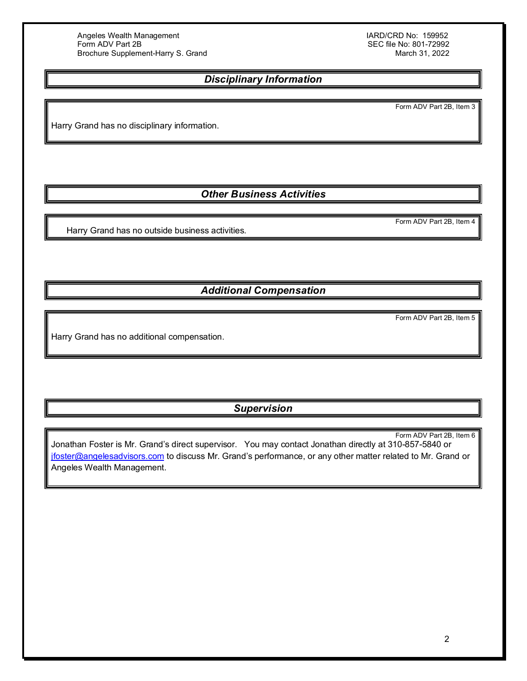SEC file No: 801-72992<br>March 31, 2022

## *Disciplinary Information*

Form ADV Part 2B, Item 3

<span id="page-28-0"></span>Harry Grand has no disciplinary information.

*Other Business Activities*

Form ADV Part 2B, Item 4

<span id="page-28-1"></span>Harry Grand has no outside business activities.

*Additional Compensation*

Form ADV Part 2B, Item 5

<span id="page-28-2"></span>Harry Grand has no additional compensation.

*Supervision*

<span id="page-28-3"></span>Form ADV Part 2B, Item 6 Jonathan Foster is Mr. Grand's direct supervisor. You may contact Jonathan directly at 310-857-5840 or [jfoster@angelesadvisors.com](mailto:jfoster@angelesadvisors.com) to discuss Mr. Grand's performance, or any other matter related to Mr. Grand or Angeles Wealth Management.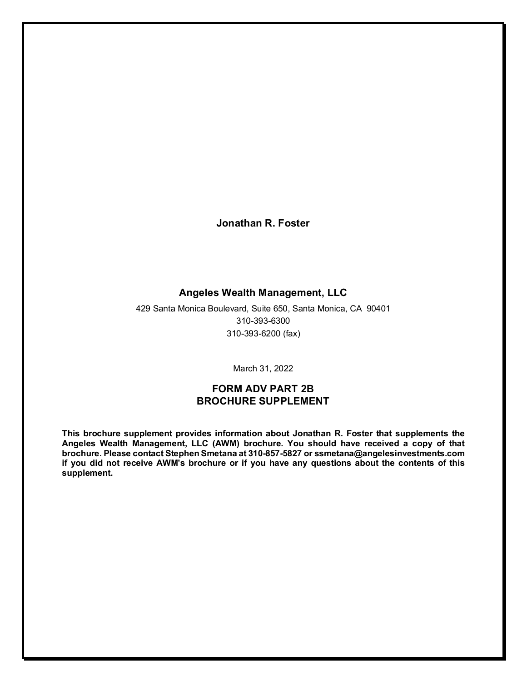**Jonathan R. Foster**

## **Angeles Wealth Management, LLC**

429 Santa Monica Boulevard, Suite 650, Santa Monica, CA 90401 310-393-6300 310-393-6200 (fax)

March 31, 2022

## **FORM ADV PART 2B BROCHURE SUPPLEMENT**

**This brochure supplement provides information about Jonathan R. Foster that supplements the Angeles Wealth Management, LLC (AWM) brochure. You should have received a copy of that brochure. Please contact Stephen Smetana at 310-857-5827 or ssmetana@angelesinvestments.com if you did not receive AWM's brochure or if you have any questions about the contents of this supplement.**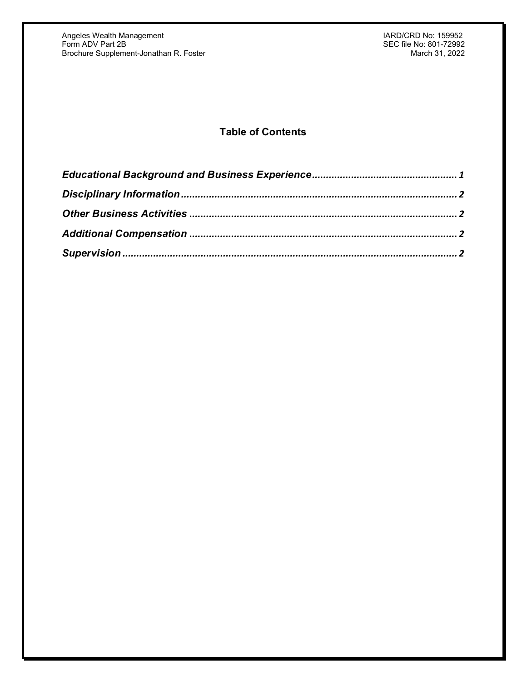# **Table of Contents**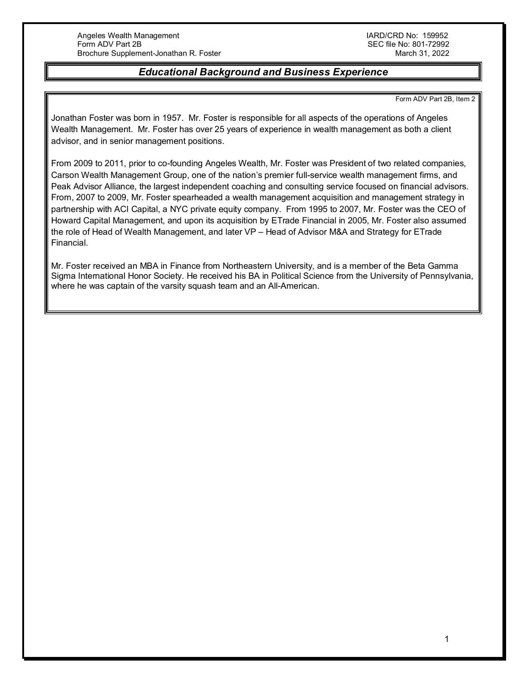## *Educational Background and Business Experience*

Form ADV Part 2B, Item 2

<span id="page-31-0"></span>Jonathan Foster was born in 1957. Mr. Foster is responsible for all aspects of the operations of Angeles Wealth Management. Mr. Foster has over 25 years of experience in wealth management as both a client advisor, and in senior management positions.

From 2009 to 2011, prior to co-founding Angeles Wealth, Mr. Foster was President of two related companies, Carson Wealth Management Group, one of the nation's premier full-service wealth management firms, and Peak Advisor Alliance, the largest independent coaching and consulting service focused on financial advisors. From, 2007 to 2009, Mr. Foster spearheaded a wealth management acquisition and management strategy in partnership with ACI Capital, a NYC private equity company. From 1995 to 2007, Mr. Foster was the CEO of Howard Capital Management, and upon its acquisition by ETrade Financial in 2005, Mr. Foster also assumed the role of Head of Wealth Management, and later VP – Head of Advisor M&A and Strategy for ETrade Financial.

Mr. Foster received an MBA in Finance from Northeastern University, and is a member of the Beta Gamma Sigma International Honor Society. He received his BA in Political Science from the University of Pennsylvania, where he was captain of the varsity squash team and an All-American.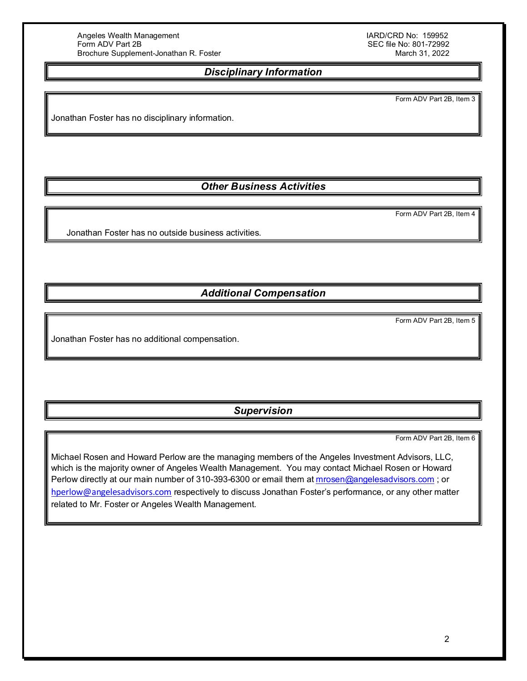SEC file No: 801-72992<br>March 31, 2022

## *Disciplinary Information*

Form ADV Part 2B, Item 3

<span id="page-32-0"></span>Jonathan Foster has no disciplinary information.

# *Other Business Activities*

Form ADV Part 2B, Item 4

<span id="page-32-1"></span>Jonathan Foster has no outside business activities.

*Additional Compensation*

Form ADV Part 2B, Item 5

<span id="page-32-2"></span>Jonathan Foster has no additional compensation.

*Supervision*

Form ADV Part 2B, Item 6

<span id="page-32-3"></span>Michael Rosen and Howard Perlow are the managing members of the Angeles Investment Advisors, LLC, which is the majority owner of Angeles Wealth Management. You may contact Michael Rosen or Howard Perlow directly at our main number of 310-393-6300 or email them at [mrosen@angelesadvisors.com](mailto:mrosen@angelesadvisors.com); or [hperlow@angelesadvisors.com](mailto:hperlow@angelesadvisors.com) respectively to discuss Jonathan Foster's performance, or any other matter related to Mr. Foster or Angeles Wealth Management.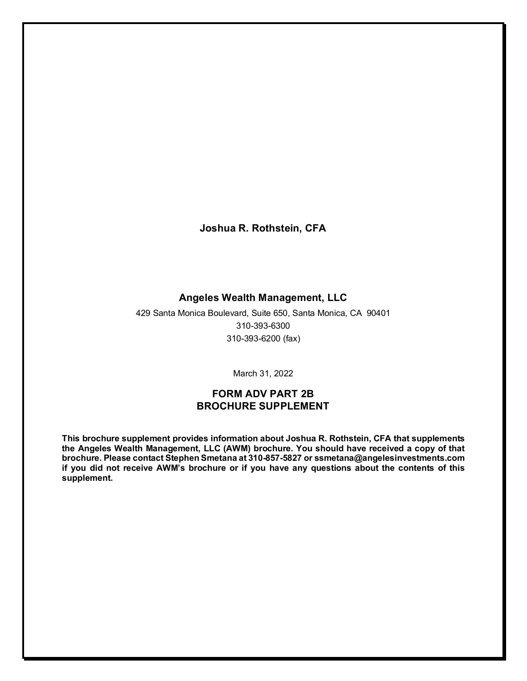**Joshua R. Rothstein, CFA**

### **Angeles Wealth Management, LLC**

429 Santa Monica Boulevard, Suite 650, Santa Monica, CA 90401 310-393-6300 310-393-6200 (fax)

March 31, 2022

## **FORM ADV PART 2B BROCHURE SUPPLEMENT**

**This brochure supplement provides information about Joshua R. Rothstein, CFA that supplements the Angeles Wealth Management, LLC (AWM) brochure. You should have received a copy of that brochure. Please contact Stephen Smetana at 310-857-5827 or ssmetana@angelesinvestments.com if you did not receive AWM's brochure or if you have any questions about the contents of this supplement.**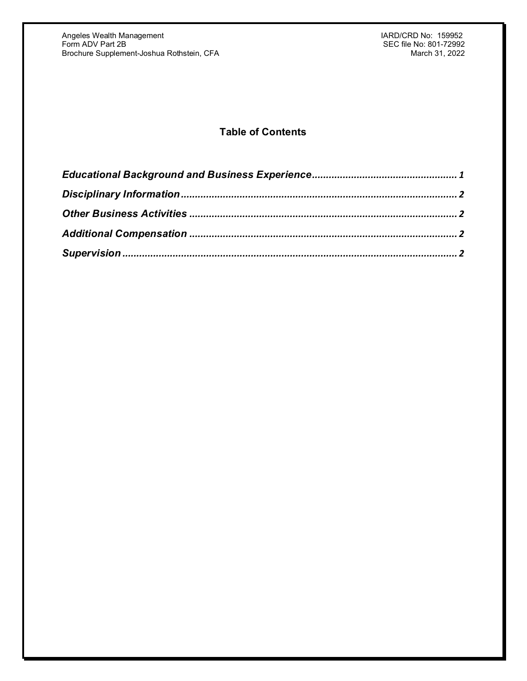# **Table of Contents**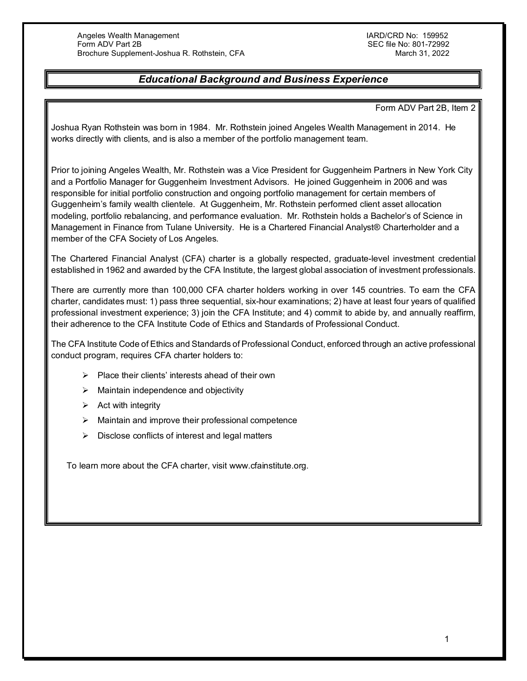## *Educational Background and Business Experience*

Form ADV Part 2B, Item 2

<span id="page-35-0"></span>Joshua Ryan Rothstein was born in 1984. Mr. Rothstein joined Angeles Wealth Management in 2014. He works directly with clients, and is also a member of the portfolio management team.

Prior to joining Angeles Wealth, Mr. Rothstein was a Vice President for Guggenheim Partners in New York City and a Portfolio Manager for Guggenheim Investment Advisors. He joined Guggenheim in 2006 and was responsible for initial portfolio construction and ongoing portfolio management for certain members of Guggenheim's family wealth clientele. At Guggenheim, Mr. Rothstein performed client asset allocation modeling, portfolio rebalancing, and performance evaluation. Mr. Rothstein holds a Bachelor's of Science in Management in Finance from Tulane University. He is a Chartered Financial Analyst® Charterholder and a member of the CFA Society of Los Angeles.

The Chartered Financial Analyst (CFA) charter is a globally respected, graduate-level investment credential established in 1962 and awarded by the CFA Institute, the largest global association of investment professionals.

There are currently more than 100,000 CFA charter holders working in over 145 countries. To earn the CFA charter, candidates must: 1) pass three sequential, six-hour examinations; 2) have at least four years of qualified professional investment experience; 3) join the CFA Institute; and 4) commit to abide by, and annually reaffirm, their adherence to the CFA Institute Code of Ethics and Standards of Professional Conduct.

The CFA Institute Code of Ethics and Standards of Professional Conduct, enforced through an active professional conduct program, requires CFA charter holders to:

- $\triangleright$  Place their clients' interests ahead of their own
- $\triangleright$  Maintain independence and objectivity
- $\triangleright$  Act with integrity
- $\triangleright$  Maintain and improve their professional competence
- $\triangleright$  Disclose conflicts of interest and legal matters

To learn more about the CFA charter, visit www.cfainstitute.org.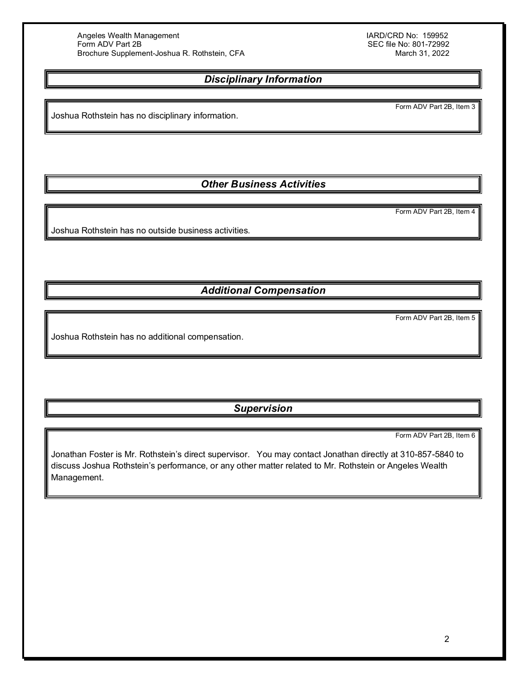SEC file No: 801-72992<br>March 31, 2022

## *Disciplinary Information*

<span id="page-36-0"></span>Joshua Rothstein has no disciplinary information.

*Other Business Activities*

Form ADV Part 2B, Item 4

<span id="page-36-1"></span>Joshua Rothstein has no outside business activities.

*Additional Compensation*

Form ADV Part 2B, Item 5

<span id="page-36-2"></span>Joshua Rothstein has no additional compensation.

*Supervision*

Form ADV Part 2B, Item 6

<span id="page-36-3"></span>Jonathan Foster is Mr. Rothstein's direct supervisor. You may contact Jonathan directly at 310-857-5840 to discuss Joshua Rothstein's performance, or any other matter related to Mr. Rothstein or Angeles Wealth Management.

Form ADV Part 2B, Item 3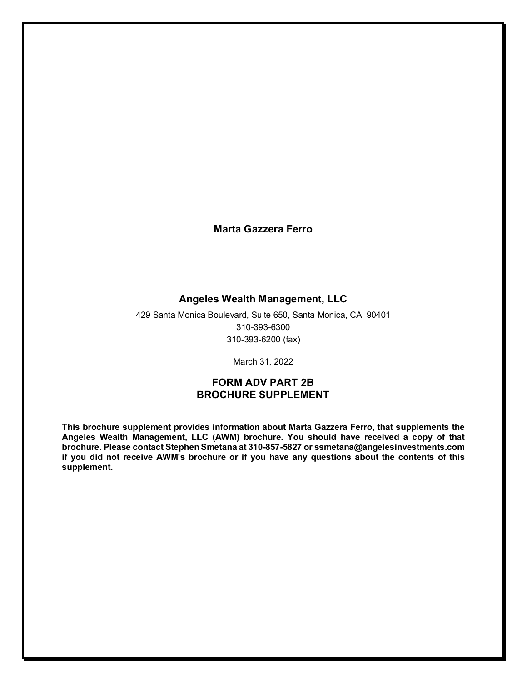**Marta Gazzera Ferro**

### **Angeles Wealth Management, LLC**

429 Santa Monica Boulevard, Suite 650, Santa Monica, CA 90401 310-393-6300 310-393-6200 (fax)

March 31, 2022

## **FORM ADV PART 2B BROCHURE SUPPLEMENT**

**This brochure supplement provides information about Marta Gazzera Ferro, that supplements the Angeles Wealth Management, LLC (AWM) brochure. You should have received a copy of that brochure. Please contact Stephen Smetana at 310-857-5827 or ssmetana@angelesinvestments.com if you did not receive AWM's brochure or if you have any questions about the contents of this supplement.**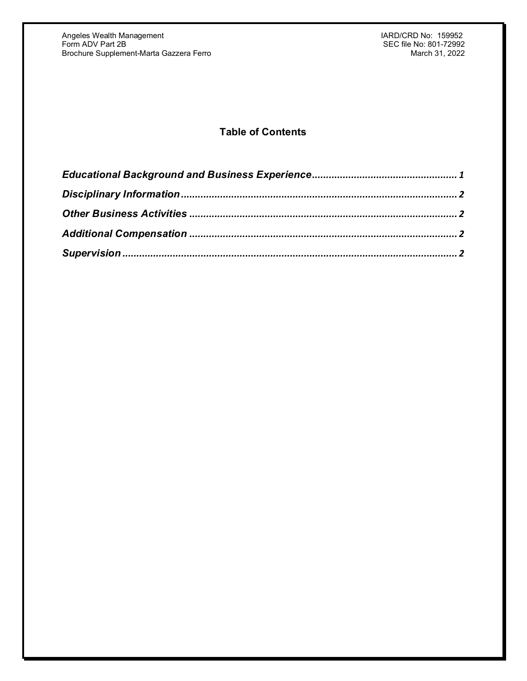# **Table of Contents**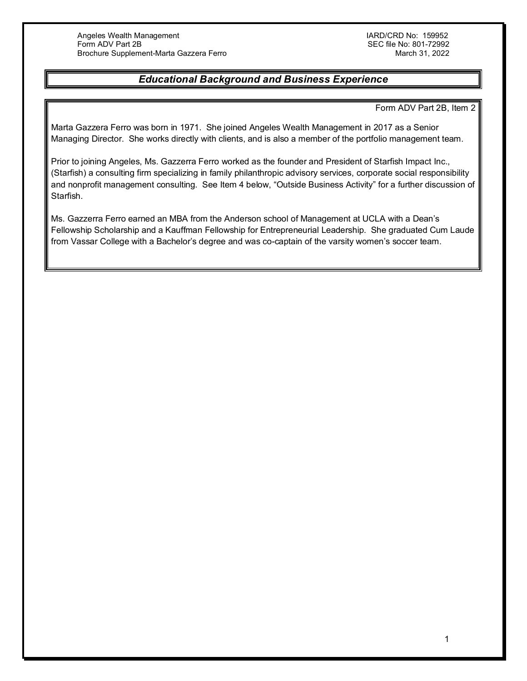## *Educational Background and Business Experience*

Form ADV Part 2B, Item 2

<span id="page-39-0"></span>Marta Gazzera Ferro was born in 1971. She joined Angeles Wealth Management in 2017 as a Senior Managing Director. She works directly with clients, and is also a member of the portfolio management team.

Prior to joining Angeles, Ms. Gazzerra Ferro worked as the founder and President of Starfish Impact Inc., (Starfish) a consulting firm specializing in family philanthropic advisory services, corporate social responsibility and nonprofit management consulting. See Item 4 below, "Outside Business Activity" for a further discussion of Starfish.

Ms. Gazzerra Ferro earned an MBA from the Anderson school of Management at UCLA with a Dean's Fellowship Scholarship and a Kauffman Fellowship for Entrepreneurial Leadership. She graduated Cum Laude from Vassar College with a Bachelor's degree and was co-captain of the varsity women's soccer team.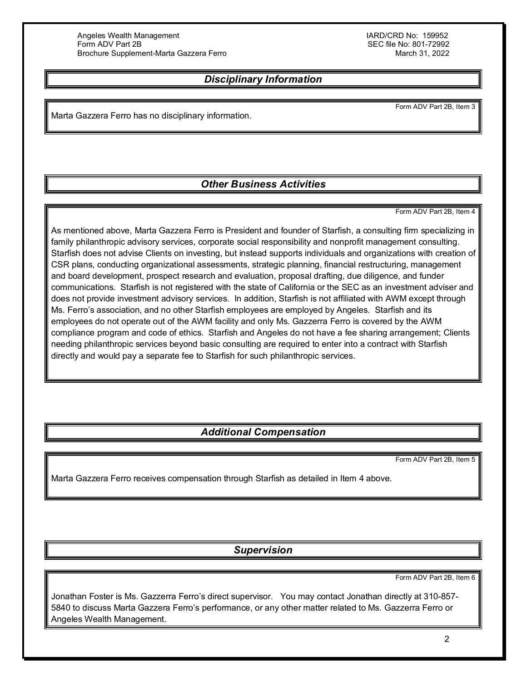## *Disciplinary Information*

<span id="page-40-0"></span>Marta Gazzera Ferro has no disciplinary information.

## *Other Business Activities*

Form ADV Part 2B, Item 4

Form ADV Part 2B, Item 3

<span id="page-40-1"></span>As mentioned above, Marta Gazzera Ferro is President and founder of Starfish, a consulting firm specializing in family philanthropic advisory services, corporate social responsibility and nonprofit management consulting. Starfish does not advise Clients on investing, but instead supports individuals and organizations with creation of CSR plans, conducting organizational assessments, strategic planning, financial restructuring, management and board development, prospect research and evaluation, proposal drafting, due diligence, and funder communications. Starfish is not registered with the state of California or the SEC as an investment adviser and does not provide investment advisory services. In addition, Starfish is not affiliated with AWM except through Ms. Ferro's association, and no other Starfish employees are employed by Angeles. Starfish and its employees do not operate out of the AWM facility and only Ms. Gazzerra Ferro is covered by the AWM compliance program and code of ethics. Starfish and Angeles do not have a fee sharing arrangement; Clients needing philanthropic services beyond basic consulting are required to enter into a contract with Starfish directly and would pay a separate fee to Starfish for such philanthropic services.

## *Additional Compensation*

Form ADV Part 2B, Item 5

<span id="page-40-2"></span>Marta Gazzera Ferro receives compensation through Starfish as detailed in Item 4 above.

*Supervision*

Form ADV Part 2B, Item 6

<span id="page-40-3"></span>Jonathan Foster is Ms. Gazzerra Ferro's direct supervisor. You may contact Jonathan directly at 310-857- 5840 to discuss Marta Gazzera Ferro's performance, or any other matter related to Ms. Gazzerra Ferro or Angeles Wealth Management.